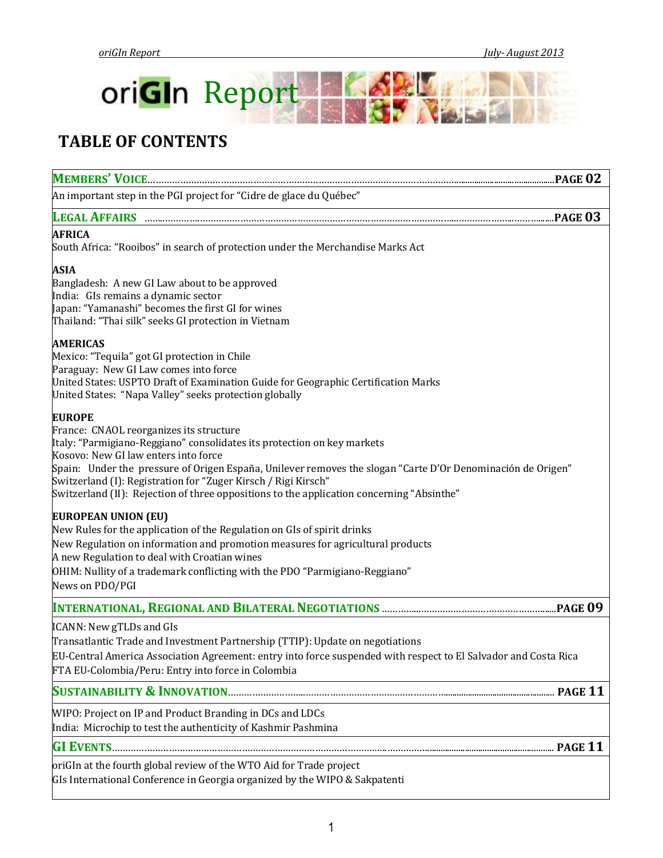

# **TABLE OF CONTENTS**

| An important step in the PGI project for "Cidre de glace du Québec"                                                                                                                                                                                                                                                                                                                                                                                       |
|-----------------------------------------------------------------------------------------------------------------------------------------------------------------------------------------------------------------------------------------------------------------------------------------------------------------------------------------------------------------------------------------------------------------------------------------------------------|
| <b>LEGAL AFFAIRS </b>                                                                                                                                                                                                                                                                                                                                                                                                                                     |
| <b>AFRICA</b><br>South Africa: "Rooibos" in search of protection under the Merchandise Marks Act                                                                                                                                                                                                                                                                                                                                                          |
| <b>ASIA</b><br>Bangladesh: A new GI Law about to be approved<br>India: GIs remains a dynamic sector<br>Japan: "Yamanashi" becomes the first GI for wines<br>Thailand: "Thai silk" seeks GI protection in Vietnam                                                                                                                                                                                                                                          |
| <b>AMERICAS</b><br>Mexico: "Tequila" got GI protection in Chile<br>Paraguay: New GI Law comes into force<br>United States: USPTO Draft of Examination Guide for Geographic Certification Marks<br>United States: "Napa Valley" seeks protection globally                                                                                                                                                                                                  |
| <b>EUROPE</b><br>France: CNAOL reorganizes its structure<br>Italy: "Parmigiano-Reggiano" consolidates its protection on key markets<br>Kosovo: New GI law enters into force<br>Spain: Under the pressure of Origen España, Unilever removes the slogan "Carte D'Or Denominación de Origen"<br>Switzerland (I): Registration for "Zuger Kirsch / Rigi Kirsch"<br>Switzerland (II): Rejection of three oppositions to the application concerning "Absinthe" |
| <b>EUROPEAN UNION (EU)</b><br>New Rules for the application of the Regulation on GIs of spirit drinks<br>New Regulation on information and promotion measures for agricultural products<br>A new Regulation to deal with Croatian wines<br>OHIM: Nullity of a trademark conflicting with the PDO "Parmigiano-Reggiano"<br>News on PDO/PGI                                                                                                                 |
|                                                                                                                                                                                                                                                                                                                                                                                                                                                           |
| ICANN: New gTLDs and GIs<br>Transatlantic Trade and Investment Partnership (TTIP): Update on negotiations<br>EU-Central America Association Agreement: entry into force suspended with respect to El Salvador and Costa Rica<br>FTA EU-Colombia/Peru: Entry into force in Colombia                                                                                                                                                                        |
|                                                                                                                                                                                                                                                                                                                                                                                                                                                           |
| WIPO: Project on IP and Product Branding in DCs and LDCs<br>India: Microchip to test the authenticity of Kashmir Pashmina                                                                                                                                                                                                                                                                                                                                 |
|                                                                                                                                                                                                                                                                                                                                                                                                                                                           |
| oriGIn at the fourth global review of the WTO Aid for Trade project<br>GIs International Conference in Georgia organized by the WIPO & Sakpatenti                                                                                                                                                                                                                                                                                                         |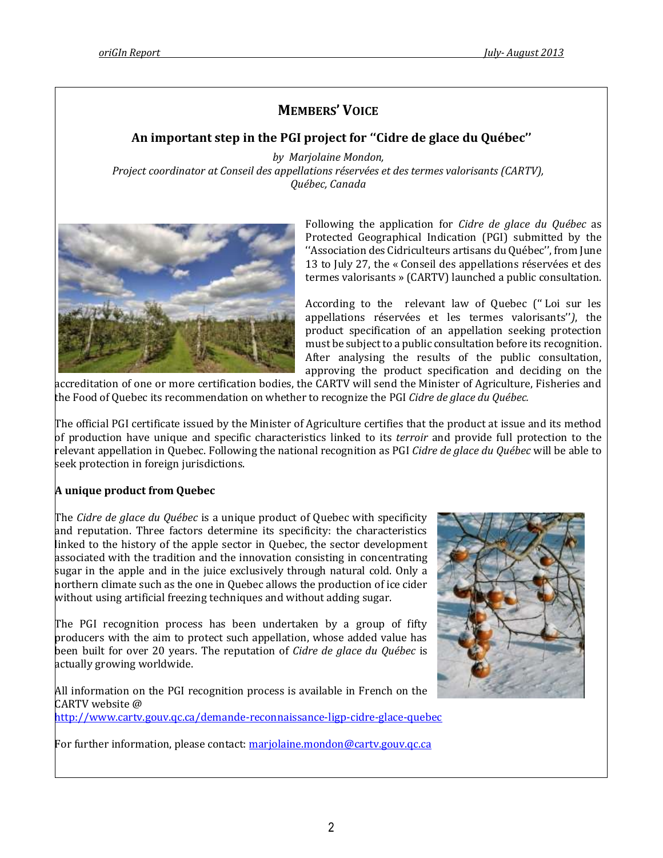# **MEMBERS' VOICE**

# **An important step in the PGI project for ''Cidre de glace du Québec''**

*by Marjolaine Mondon, Project coordinator at Conseil des appellations réservées et des termes valorisants (CARTV), Québec, Canada*



Following the application for *Cidre de glace du Québec* as Protected Geographical Indication (PGI) submitted by the ''Association des Cidriculteurs artisans du Québec'', from June 13 to July 27, the « Conseil des appellations réservées et des termes valorisants » (CARTV) launched a public consultation.

According to the relevant law of Quebec ('' Loi sur les appellations réservées et les termes valorisants''*)*, the product specification of an appellation seeking protection must be subject to a public consultation before its recognition. After analysing the results of the public consultation, approving the product specification and deciding on the

accreditation of one or more certification bodies, the CARTV will send the Minister of Agriculture, Fisheries and the Food of Quebec its recommendation on whether to recognize the PGI *Cidre de glace du Québec.*

The official PGI certificate issued by the Minister of Agriculture certifies that the product at issue and its method of production have unique and specific characteristics linked to its *terroir* and provide full protection to the relevant appellation in Quebec. Following the national recognition as PGI *Cidre de glace du Québec* will be able to seek protection in foreign jurisdictions.

# **A unique product from Quebec**

The *Cidre de glace du Québec* is a unique product of Quebec with specificity and reputation. Three factors determine its specificity: the characteristics linked to the history of the apple sector in Quebec, the sector development associated with the tradition and the innovation consisting in concentrating sugar in the apple and in the juice exclusively through natural cold. Only a northern climate such as the one in Quebec allows the production of ice cider without using artificial freezing techniques and without adding sugar.

The PGI recognition process has been undertaken by a group of fifty producers with the aim to protect such appellation, whose added value has been built for over 20 years. The reputation of *Cidre de glace du Québec* is actually growing worldwide.

All information on the PGI recognition process is available in French on the CARTV website @ <http://www.cartv.gouv.qc.ca/demande-reconnaissance-ligp-cidre-glace-quebec>

For further information, please contact: [marjolaine.mondon@cartv.gouv.qc.ca](mailto:marjolaine.mondon@cartv.gouv.qc.ca)

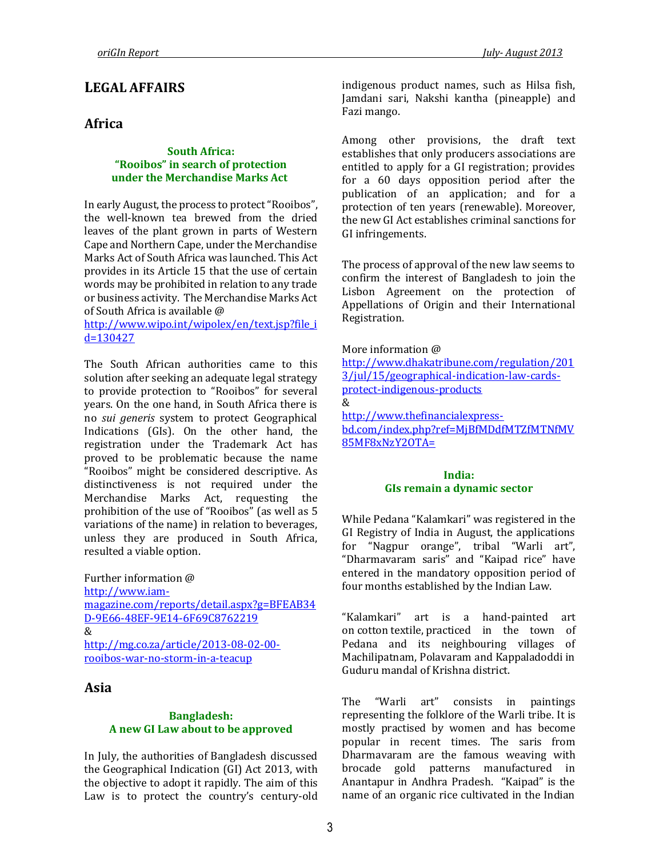# **LEGAL AFFAIRS**

# **Africa**

#### **South Africa: "Rooibos" in search of protection under the Merchandise Marks Act**

In early August, the process to protect "Rooibos", the well-known tea brewed from the dried leaves of the plant grown in parts of Western Cape and Northern Cape, under the Merchandise Marks Act of South Africa was launched. This Act provides in its Article 15 that the use of certain words may be prohibited in relation to any trade or business activity. The Merchandise Marks Act of South Africa is available @

[http://www.wipo.int/wipolex/en/text.jsp?file\\_i](http://www.wipo.int/wipolex/en/text.jsp?file_id=130427) [d=130427](http://www.wipo.int/wipolex/en/text.jsp?file_id=130427)

The South African authorities came to this solution after seeking an adequate legal strategy to provide protection to "Rooibos" for several years. On the one hand, in South Africa there is no *sui generis* system to protect Geographical Indications (GIs). On the other hand, the registration under the Trademark Act has proved to be problematic because the name "Rooibos" might be considered descriptive. As distinctiveness is not required under the Merchandise Marks Act, requesting the prohibition of the use of "Rooibos" (as well as 5 variations of the name) in relation to beverages, unless they are produced in South Africa, resulted a viable option.

Further information @ [http://www.iam](http://www.iam-magazine.com/reports/detail.aspx?g=BFEAB34D-9E66-48EF-9E14-6F69C8762219)[magazine.com/reports/detail.aspx?g=BFEAB34](http://www.iam-magazine.com/reports/detail.aspx?g=BFEAB34D-9E66-48EF-9E14-6F69C8762219) [D-9E66-48EF-9E14-6F69C8762219](http://www.iam-magazine.com/reports/detail.aspx?g=BFEAB34D-9E66-48EF-9E14-6F69C8762219) & [http://mg.co.za/article/2013-08-02-00](http://mg.co.za/article/2013-08-02-00-rooibos-war-no-storm-in-a-teacup) [rooibos-war-no-storm-in-a-teacup](http://mg.co.za/article/2013-08-02-00-rooibos-war-no-storm-in-a-teacup)

# **Asia**

#### **Bangladesh: A new GI Law about to be approved**

In July, the authorities of Bangladesh discussed the Geographical Indication (GI) Act 2013, with the objective to adopt it rapidly. The aim of this Law is to protect the country's century-old indigenous product names, such as Hilsa fish, Jamdani sari, Nakshi kantha (pineapple) and Fazi mango.

Among other provisions, the draft text establishes that only producers associations are entitled to apply for a GI registration; provides for a 60 days opposition period after the publication of an application; and for a protection of ten years (renewable). Moreover, the new GI Act establishes criminal sanctions for GI infringements.

The process of approval of the new law seems to confirm the interest of Bangladesh to join the Lisbon Agreement on the protection of Appellations of Origin and their International Registration.

#### More information @

[http://www.dhakatribune.com/regulation/201](http://www.dhakatribune.com/regulation/2013/jul/15/geographical-indication-law-cards-protect-indigenous-products) [3/jul/15/geographical-indication-law-cards](http://www.dhakatribune.com/regulation/2013/jul/15/geographical-indication-law-cards-protect-indigenous-products)[protect-indigenous-products](http://www.dhakatribune.com/regulation/2013/jul/15/geographical-indication-law-cards-protect-indigenous-products) & [http://www.thefinancialexpress](http://www.thefinancialexpress-bd.com/index.php?ref=MjBfMDdfMTZfMTNfMV85MF8xNzY2OTA=)[bd.com/index.php?ref=MjBfMDdfMTZfMTNfMV](http://www.thefinancialexpress-bd.com/index.php?ref=MjBfMDdfMTZfMTNfMV85MF8xNzY2OTA=) [85MF8xNzY2OTA=](http://www.thefinancialexpress-bd.com/index.php?ref=MjBfMDdfMTZfMTNfMV85MF8xNzY2OTA=)

#### **India: GIs remain a dynamic sector**

While Pedana "Kalamkari" was registered in the GI Registry of India in August, the applications for "Nagpur orange", tribal "Warli art", "Dharmavaram saris" and "Kaipad rice" have entered in the mandatory opposition period of four months established by the Indian Law.

"Kalamkari" art is a hand-painted art on [cotton](http://en.wikipedia.org/wiki/Cotton) [textile,](http://en.wikipedia.org/wiki/Textile) practiced in the town of Pedana and its neighbouring villages of Machilipatnam, Polavaram and Kappaladoddi in Guduru mandal of Krishna district.

The "Warli art" consists in paintings representing the folklore of the Warli tribe. It is mostly practised by women and has become popular in recent times. The saris from Dharmavaram are the famous weaving with brocade gold patterns manufactured in Anantapur in Andhra Pradesh. "Kaipad" is the name of an organic rice cultivated in the Indian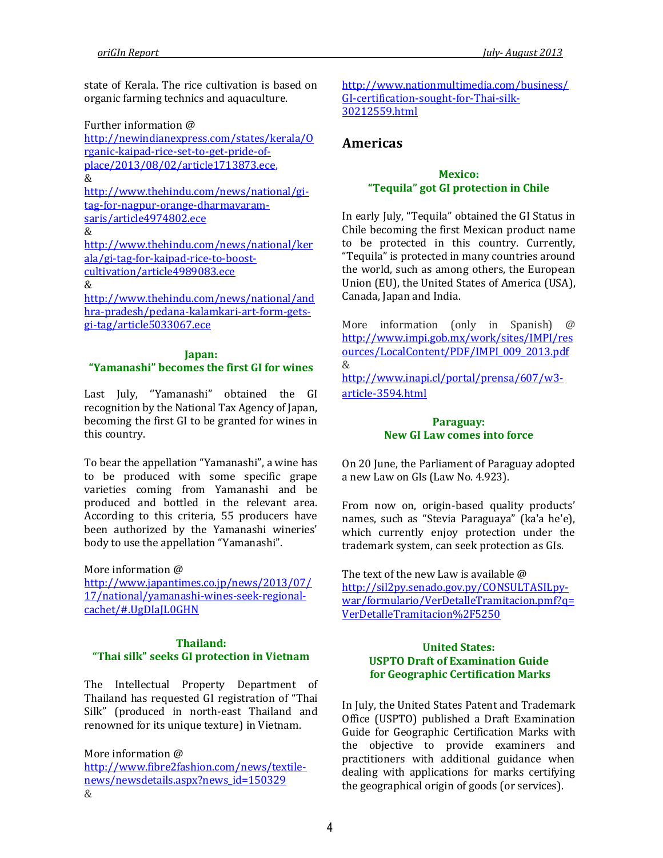state of Kerala. The rice cultivation is based on organic farming technics and aquaculture.

Further information @

[http://newindianexpress.com/states/kerala/O](http://newindianexpress.com/states/kerala/Organic-kaipad-rice-set-to-get-pride-of-place/2013/08/02/article1713873.ece) [rganic-kaipad-rice-set-to-get-pride-of](http://newindianexpress.com/states/kerala/Organic-kaipad-rice-set-to-get-pride-of-place/2013/08/02/article1713873.ece)[place/2013/08/02/article1713873.ece,](http://newindianexpress.com/states/kerala/Organic-kaipad-rice-set-to-get-pride-of-place/2013/08/02/article1713873.ece)  &

[http://www.thehindu.com/news/national/gi](http://www.thehindu.com/news/national/gi-tag-for-nagpur-orange-dharmavaram-saris/article4974802.ece)[tag-for-nagpur-orange-dharmavaram](http://www.thehindu.com/news/national/gi-tag-for-nagpur-orange-dharmavaram-saris/article4974802.ece)[saris/article4974802.ece](http://www.thehindu.com/news/national/gi-tag-for-nagpur-orange-dharmavaram-saris/article4974802.ece) 

&

[http://www.thehindu.com/news/national/ker](http://www.thehindu.com/news/national/kerala/gi-tag-for-kaipad-rice-to-boost-cultivation/article4989083.ece) [ala/gi-tag-for-kaipad-rice-to-boost](http://www.thehindu.com/news/national/kerala/gi-tag-for-kaipad-rice-to-boost-cultivation/article4989083.ece)[cultivation/article4989083.ece](http://www.thehindu.com/news/national/kerala/gi-tag-for-kaipad-rice-to-boost-cultivation/article4989083.ece)

#### &

[http://www.thehindu.com/news/national/and](http://www.thehindu.com/news/national/andhra-pradesh/pedana-kalamkari-art-form-gets-gi-tag/article5033067.ece) [hra-pradesh/pedana-kalamkari-art-form-gets](http://www.thehindu.com/news/national/andhra-pradesh/pedana-kalamkari-art-form-gets-gi-tag/article5033067.ece)[gi-tag/article5033067.ece](http://www.thehindu.com/news/national/andhra-pradesh/pedana-kalamkari-art-form-gets-gi-tag/article5033067.ece)

#### **Japan:**

# **"Yamanashi" becomes the first GI for wines**

Last July, ''Yamanashi" obtained the GI recognition by the National Tax Agency of Japan, becoming the first GI to be granted for wines in this country.

To bear the appellation "Yamanashi", a wine has to be produced with some specific grape varieties coming from Yamanashi and be produced and bottled in the relevant area. According to this criteria, 55 producers have been authorized by the Yamanashi wineries' body to use the appellation "Yamanashi".

More information @ [http://www.japantimes.co.jp/news/2013/07/](http://www.japantimes.co.jp/news/2013/07/17/national/yamanashi-wines-seek-regional-cachet/#.UgDIaJL0GHN) [17/national/yamanashi-wines-seek-regional](http://www.japantimes.co.jp/news/2013/07/17/national/yamanashi-wines-seek-regional-cachet/#.UgDIaJL0GHN)[cachet/#.UgDIaJL0GHN](http://www.japantimes.co.jp/news/2013/07/17/national/yamanashi-wines-seek-regional-cachet/#.UgDIaJL0GHN)

## **Thailand: "Thai silk" seeks GI protection in Vietnam**

The Intellectual Property Department of Thailand has requested GI registration of "Thai Silk" (produced in north-east Thailand and renowned for its unique texture) in Vietnam.

More information @ [http://www.fibre2fashion.com/news/textile](http://www.fibre2fashion.com/news/textile-news/newsdetails.aspx?news_id=150329)[news/newsdetails.aspx?news\\_id=150329](http://www.fibre2fashion.com/news/textile-news/newsdetails.aspx?news_id=150329) &

[http://www.nationmultimedia.com/business/](http://www.nationmultimedia.com/business/GI-certification-sought-for-Thai-silk-30212559.html) [GI-certification-sought-for-Thai-silk-](http://www.nationmultimedia.com/business/GI-certification-sought-for-Thai-silk-30212559.html)[30212559.html](http://www.nationmultimedia.com/business/GI-certification-sought-for-Thai-silk-30212559.html)

# **Americas**

## **Mexico: "Tequila" got GI protection in Chile**

In early July, "Tequila" obtained the GI Status in Chile becoming the first Mexican product name to be protected in this country. Currently, "Tequila" is protected in many countries around the world, such as among others, the European Union (EU), the United States of America (USA), Canada, Japan and India.

More information (only in Spanish) @ [http://www.impi.gob.mx/work/sites/IMPI/res](http://www.impi.gob.mx/work/sites/IMPI/resources/LocalContent/PDF/IMPI_009_2013.pdf) [ources/LocalContent/PDF/IMPI\\_009\\_2013.pdf](http://www.impi.gob.mx/work/sites/IMPI/resources/LocalContent/PDF/IMPI_009_2013.pdf) & [http://www.inapi.cl/portal/prensa/607/w3](http://www.inapi.cl/portal/prensa/607/w3-article-3594.html) [article-3594.html](http://www.inapi.cl/portal/prensa/607/w3-article-3594.html)

## **Paraguay: New GI Law comes into force**

On 20 June, the Parliament of Paraguay adopted a new Law on GIs (Law No. 4.923).

From now on, origin-based quality products' names, such as "Stevia Paraguaya" (ka'a he'e), which currently enjoy protection under the trademark system, can seek protection as GIs.

The text of the new Law is available @ [http://sil2py.senado.gov.py/CONSULTASILpy](http://sil2py.senado.gov.py/CONSULTASILpy-war/formulario/VerDetalleTramitacion.pmf?q=VerDetalleTramitacion%2F5250)[war/formulario/VerDetalleTramitacion.pmf?q=](http://sil2py.senado.gov.py/CONSULTASILpy-war/formulario/VerDetalleTramitacion.pmf?q=VerDetalleTramitacion%2F5250) [VerDetalleTramitacion%2F5250](http://sil2py.senado.gov.py/CONSULTASILpy-war/formulario/VerDetalleTramitacion.pmf?q=VerDetalleTramitacion%2F5250)

### **United States: USPTO Draft of Examination Guide for Geographic Certification Marks**

In July, the United States Patent and Trademark Office (USPTO) published a Draft Examination Guide for Geographic Certification Marks with the objective to provide examiners and practitioners with additional guidance when dealing with applications for marks certifying the geographical origin of goods (or services).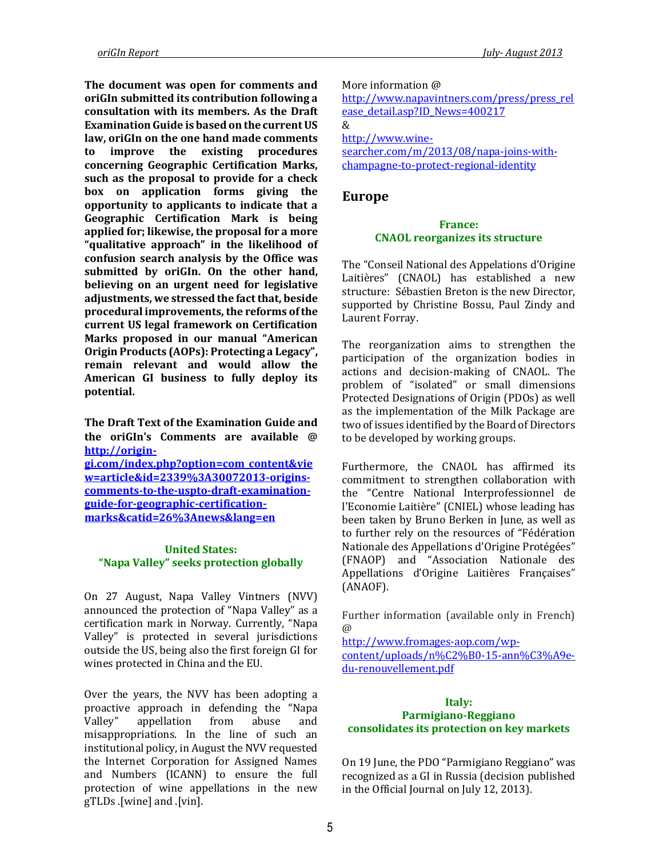**The document was open for comments and oriGIn submitted its contribution following a consultation with its members. As the Draft Examination Guide is based on the current US law, oriGIn on the one hand made comments to improve the existing procedures concerning Geographic Certification Marks, such as the proposal to provide for a check box on application forms giving the opportunity to applicants to indicate that a Geographic Certification Mark is being applied for; likewise, the proposal for a more "qualitative approach" in the likelihood of confusion search analysis by the Office was submitted by oriGIn. On the other hand, believing on an urgent need for legislative adjustments, we stressed the fact that, beside procedural improvements, the reforms of the current US legal framework on Certification Marks proposed in our manual ["American](http://www.origin-gi.com/images/stories/PDFs/English/oriGIn_Publications_2010/American_Origin_Products_Protecting_a_Legacy_Final_23.02.pdf)  Origin Products (AOPs)[: Protecting a Legacy"](http://www.origin-gi.com/images/stories/PDFs/English/oriGIn_Publications_2010/American_Origin_Products_Protecting_a_Legacy_Final_23.02.pdf), remain relevant and would allow the American GI business to fully deploy its potential.**

**The Draft Text of the Examination Guide and the oriGIn's Comments are available @ http://origingi.com/index.php?option=com\_content&vie**

**w=article&id=2339%3A30072013-originscomments-to-the-uspto-draft-examinationguide-for-geographic-certificationmarks&catid=26%3Anews&lang=en**

#### **United States: "Napa Valley" seeks protection globally**

On 27 August, Napa Valley Vintners (NVV) announced the protection of "Napa Valley" as a certification mark in Norway. Currently, "Napa Valley" is protected in several jurisdictions outside the US, being also the first foreign GI for wines protected in China and the EU.

Over the years, the NVV has been adopting a proactive approach in defending the "Napa Valley" appellation from abuse and misappropriations. In the line of such an institutional policy, in August the NVV requested the Internet Corporation for Assigned Names and Numbers (ICANN) to ensure the full protection of wine appellations in the new gTLDs .[wine] and .[vin].

More information @

[http://www.napavintners.com/press/press\\_rel](http://www.napavintners.com/press/press_release_detail.asp?ID_News=400217) [ease\\_detail.asp?ID\\_News=400217](http://www.napavintners.com/press/press_release_detail.asp?ID_News=400217) & [http://www.wine](http://www.wine-searcher.com/m/2013/08/napa-joins-with-champagne-to-protect-regional-identity)[searcher.com/m/2013/08/napa-joins-with](http://www.wine-searcher.com/m/2013/08/napa-joins-with-champagne-to-protect-regional-identity)[champagne-to-protect-regional-identity](http://www.wine-searcher.com/m/2013/08/napa-joins-with-champagne-to-protect-regional-identity)

# **Europe**

#### **France: CNAOL reorganizes its structure**

The "Conseil National des Appelations d'Origine Laitières" (CNAOL) has established a new structure: Sébastien Breton is the new Director, supported by Christine Bossu, Paul Zindy and Laurent Forray.

The reorganization aims to strengthen the participation of the organization bodies in actions and decision-making of CNAOL. The problem of "isolated" or small dimensions Protected Designations of Origin (PDOs) as well as the implementation of the Milk Package are two of issues identified by the Board of Directors to be developed by working groups.

Furthermore, the CNAOL has affirmed its commitment to strengthen collaboration with the "Centre National Interprofessionnel de l'Economie Laitière" (CNIEL) whose leading has been taken by Bruno Berken in June, as well as to further rely on the resources of "Fédération Nationale des Appellations d'Origine Protégées" (FNAOP) and "Association Nationale des Appellations d'Origine Laitières Françaises" (ANAOF).

Further information (available only in French) @

[http://www.fromages-aop.com/wp](http://www.fromages-aop.com/wp-content/uploads/n%C2%B0-15-ann%C3%A9e-du-renouvellement.pdf)[content/uploads/n%C2%B0-15-ann%C3%A9e](http://www.fromages-aop.com/wp-content/uploads/n%C2%B0-15-ann%C3%A9e-du-renouvellement.pdf)[du-renouvellement.pdf](http://www.fromages-aop.com/wp-content/uploads/n%C2%B0-15-ann%C3%A9e-du-renouvellement.pdf)

#### **Italy: Parmigiano-Reggiano consolidates its protection on key markets**

On 19 June, the PDO "Parmigiano Reggiano" was recognized as a GI in Russia (decision published in the Official Journal on July 12, 2013).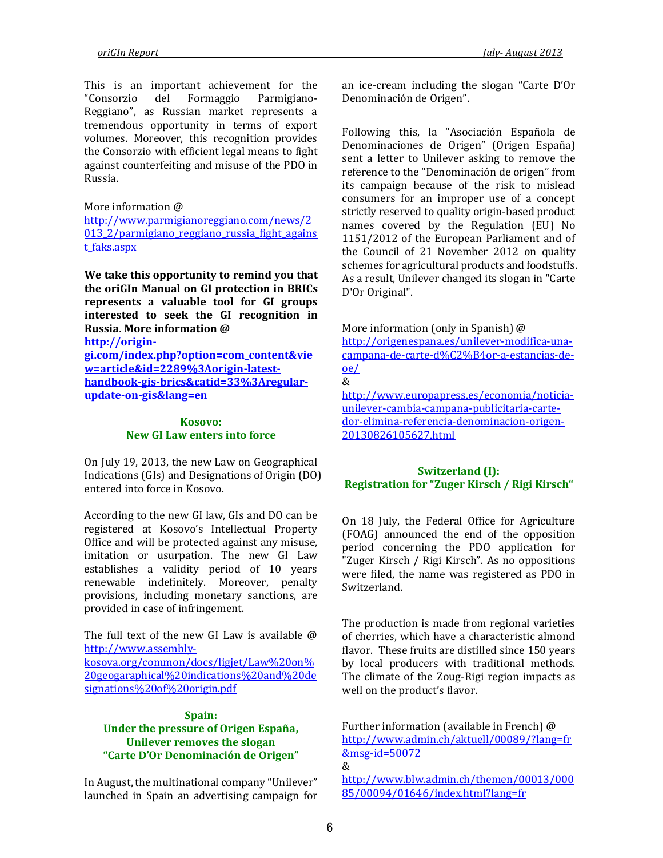This is an important achievement for the "Consorzio del Formaggio Parmigiano-Reggiano", as Russian market represents a tremendous opportunity in terms of export volumes. Moreover, this recognition provides the Consorzio with efficient legal means to fight against counterfeiting and misuse of the PDO in Russia.

#### More information @

[http://www.parmigianoreggiano.com/news/2](http://www.parmigianoreggiano.com/news/2013_2/parmigiano_reggiano_russia_fight_against_faks.aspx) 013<sup>2</sup>/parmigiano\_reggiano\_russia\_fight\_agains [t\\_faks.aspx](http://www.parmigianoreggiano.com/news/2013_2/parmigiano_reggiano_russia_fight_against_faks.aspx)

**We take this opportunity to remind you that the oriGIn Manual on GI protection in BRICs represents a valuable tool for GI groups interested to seek the GI recognition in Russia. More information @ [http://origin-](http://origin-gi.com/index.php?option=com_content&view=article&id=2289%3Aorigin-latest-handbook-gis-brics&catid=33%3Aregular-update-on-gis&lang=en)**

**[gi.com/index.php?option=com\\_content&vie](http://origin-gi.com/index.php?option=com_content&view=article&id=2289%3Aorigin-latest-handbook-gis-brics&catid=33%3Aregular-update-on-gis&lang=en) [w=article&id=2289%3Aorigin-latest](http://origin-gi.com/index.php?option=com_content&view=article&id=2289%3Aorigin-latest-handbook-gis-brics&catid=33%3Aregular-update-on-gis&lang=en)[handbook-gis-brics&catid=33%3Aregular](http://origin-gi.com/index.php?option=com_content&view=article&id=2289%3Aorigin-latest-handbook-gis-brics&catid=33%3Aregular-update-on-gis&lang=en)[update-on-gis&lang=en](http://origin-gi.com/index.php?option=com_content&view=article&id=2289%3Aorigin-latest-handbook-gis-brics&catid=33%3Aregular-update-on-gis&lang=en)**

## **Kosovo: New GI Law enters into force**

On July 19, 2013, the new Law on Geographical Indications (GIs) and Designations of Origin (DO) entered into force in Kosovo.

According to the new GI law, GIs and DO can be registered at Kosovo's Intellectual Property Office and will be protected against any misuse, imitation or usurpation. The new GI Law establishes a validity period of 10 years renewable indefinitely. Moreover, penalty provisions, including monetary sanctions, are provided in case of infringement.

The full text of the new GI Law is available  $\omega$ [http://www.assembly-](http://www.assembly-kosova.org/common/docs/ligjet/Law%20on%20geogaraphical%20indications%20and%20designations%20of%20origin.pdf)

[kosova.org/common/docs/ligjet/Law%20on%](http://www.assembly-kosova.org/common/docs/ligjet/Law%20on%20geogaraphical%20indications%20and%20designations%20of%20origin.pdf) [20geogaraphical%20indications%20and%20de](http://www.assembly-kosova.org/common/docs/ligjet/Law%20on%20geogaraphical%20indications%20and%20designations%20of%20origin.pdf) [signations%20of%20origin.pdf](http://www.assembly-kosova.org/common/docs/ligjet/Law%20on%20geogaraphical%20indications%20and%20designations%20of%20origin.pdf)

#### **Spain:**

## **Under the pressure of Origen España, Unilever removes the slogan "Carte D'Or Denominación de Origen"**

In August, the multinational company "Unilever" launched in Spain an advertising campaign for an ice-cream including the slogan "Carte D'Or Denominación de Origen".

Following this, la "Asociación Española de Denominaciones de Origen" (Origen España) sent a letter to Unilever asking to remove the reference to the "Denominación de origen" from its campaign because of the risk to mislead consumers for an improper use of a concept strictly reserved to quality origin-based product names covered by the Regulation (EU) No 1151/2012 of the European Parliament and of the Council of 21 November 2012 on quality schemes for agricultural products and foodstuffs. As a result, Unilever changed its slogan in "Carte D'Or Original".

More information (only in Spanish) @ [http://origenespana.es/unilever-modifica-una](http://origenespana.es/unilever-modifica-una-campana-de-carte-d%C2%B4or-a-estancias-de-oe/)[campana-de-carte-d%C2%B4or-a-estancias-de](http://origenespana.es/unilever-modifica-una-campana-de-carte-d%C2%B4or-a-estancias-de-oe/)[oe/](http://origenespana.es/unilever-modifica-una-campana-de-carte-d%C2%B4or-a-estancias-de-oe/) &

[http://www.europapress.es/economia/noticia](http://www.europapress.es/economia/noticia-unilever-cambia-campana-publicitaria-carte-dor-elimina-referencia-denominacion-origen-20130826105627.html)[unilever-cambia-campana-publicitaria-carte](http://www.europapress.es/economia/noticia-unilever-cambia-campana-publicitaria-carte-dor-elimina-referencia-denominacion-origen-20130826105627.html)[dor-elimina-referencia-denominacion-origen-](http://www.europapress.es/economia/noticia-unilever-cambia-campana-publicitaria-carte-dor-elimina-referencia-denominacion-origen-20130826105627.html)[20130826105627.html](http://www.europapress.es/economia/noticia-unilever-cambia-campana-publicitaria-carte-dor-elimina-referencia-denominacion-origen-20130826105627.html)

#### **Switzerland (I): Registration for "Zuger Kirsch / Rigi Kirsch"**

On 18 July, the Federal Office for Agriculture (FOAG) announced the end of the opposition period concerning the PDO application for "Zuger Kirsch / Rigi Kirsch". As no oppositions were filed, the name was registered as PDO in Switzerland.

The production is made from regional varieties of cherries, which have a characteristic almond flavor. These fruits are distilled since 150 years by local producers with traditional methods. The climate of the Zoug-Rigi region impacts as well on the product's flavor.

Further information (available in French) @ [http://www.admin.ch/aktuell/00089/?lang=fr](http://www.admin.ch/aktuell/00089/?lang=fr&msg-id=50072) [&msg-id=50072](http://www.admin.ch/aktuell/00089/?lang=fr&msg-id=50072) &

[http://www.blw.admin.ch/themen/00013/000](http://www.blw.admin.ch/themen/00013/00085/00094/01646/index.html?lang=fr) [85/00094/01646/index.html?lang=fr](http://www.blw.admin.ch/themen/00013/00085/00094/01646/index.html?lang=fr)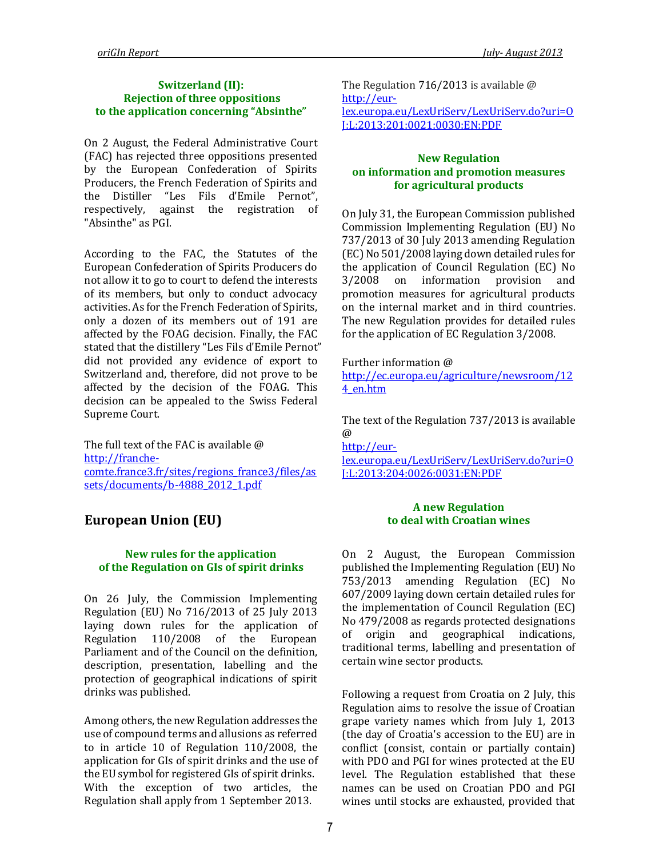## **Switzerland (II): Rejection of three oppositions to the application concerning "Absinthe"**

On 2 August, the Federal Administrative Court (FAC) has rejected three oppositions presented by the European Confederation of Spirits Producers, the French Federation of Spirits and the Distiller "Les Fils d'Emile Pernot", respectively, against the registration of "Absinthe" as PGI.

According to the FAC, the Statutes of the European Confederation of Spirits Producers do not allow it to go to court to defend the interests of its members, but only to conduct advocacy activities. As for the French Federation of Spirits, only a dozen of its members out of 191 are affected by the FOAG decision. Finally, the FAC stated that the distillery "Les Fils d'Emile Pernot" did not provided any evidence of export to Switzerland and, therefore, did not prove to be affected by the decision of the FOAG. This decision can be appealed to the Swiss Federal Supreme Court.

The full text of the FAC is available @ [http://franche](http://franche-comte.france3.fr/sites/regions_france3/files/assets/documents/b-4888_2012_1.pdf)[comte.france3.fr/sites/regions\\_france3/files/as](http://franche-comte.france3.fr/sites/regions_france3/files/assets/documents/b-4888_2012_1.pdf) [sets/documents/b-4888\\_2012\\_1.pdf](http://franche-comte.france3.fr/sites/regions_france3/files/assets/documents/b-4888_2012_1.pdf)

# **European Union (EU)**

## **New rules for the application of the Regulation on GIs of spirit drinks**

On 26 July, the Commission Implementing Regulation (EU) No 716/2013 of 25 July 2013 laying down rules for the application of Regulation 110/2008 of the European Parliament and of the Council on the definition, description, presentation, labelling and the protection of geographical indications of spirit drinks was published.

Among others, the new Regulation addresses the use of compound terms and allusions as referred to in article 10 of Regulation 110/2008, the application for GIs of spirit drinks and the use of the EU symbol for registered GIs of spirit drinks. With the exception of two articles, the Regulation shall apply from 1 September 2013.

The Regulation 716/2013 is available @ [http://eur](http://eur-lex.europa.eu/LexUriServ/LexUriServ.do?uri=OJ:L:2013:201:0021:0030:EN:PDF)[lex.europa.eu/LexUriServ/LexUriServ.do?uri=O](http://eur-lex.europa.eu/LexUriServ/LexUriServ.do?uri=OJ:L:2013:201:0021:0030:EN:PDF) [J:L:2013:201:0021:0030:EN:PDF](http://eur-lex.europa.eu/LexUriServ/LexUriServ.do?uri=OJ:L:2013:201:0021:0030:EN:PDF)

## **New Regulation on information and promotion measures for agricultural products**

On July 31, the European Commission published Commission Implementing Regulation (EU) No 737/2013 of 30 July 2013 amending Regulation (EC) No 501/2008 laying down detailed rules for the application of Council Regulation (EC) No 3/2008 on information provision and promotion measures for agricultural products on the internal market and in third countries. The new Regulation provides for detailed rules for the application of EC Regulation 3/2008.

Further information @

[http://ec.europa.eu/agriculture/newsroom/12](http://ec.europa.eu/agriculture/newsroom/124_en.htm) [4\\_en.htm](http://ec.europa.eu/agriculture/newsroom/124_en.htm)

The text of the Regulation 737/2013 is available @

[http://eur](http://eur-lex.europa.eu/LexUriServ/LexUriServ.do?uri=OJ:L:2013:204:0026:0031:EN:PDF)[lex.europa.eu/LexUriServ/LexUriServ.do?uri=O](http://eur-lex.europa.eu/LexUriServ/LexUriServ.do?uri=OJ:L:2013:204:0026:0031:EN:PDF) [J:L:2013:204:0026:0031:EN:PDF](http://eur-lex.europa.eu/LexUriServ/LexUriServ.do?uri=OJ:L:2013:204:0026:0031:EN:PDF)

#### **A new Regulation to deal with Croatian wines**

On 2 August, the European Commission published the [Implementing Regulation \(EU\)](http://eur-lex.europa.eu/LexUriServ/LexUriServ.do?uri=OJ:L:2013:210:0021:0023:EN:PDF) No [753/2013](http://eur-lex.europa.eu/LexUriServ/LexUriServ.do?uri=OJ:L:2013:210:0021:0023:EN:PDF) amending Regulation (EC) No 607/2009 laying down certain detailed rules for the implementation of Council Regulation (EC) No 479/2008 as regards protected designations of origin and geographical indications, traditional terms, labelling and presentation of certain wine sector products.

Following a request from Croatia on 2 July, this Regulation aims to resolve the issue of Croatian grape variety names which from July 1, 2013 (the day of Croatia's accession to the EU) are in conflict (consist, contain or partially contain) with PDO and PGI for wines protected at the EU level. The Regulation established that these names can be used on Croatian PDO and PGI wines until stocks are exhausted, provided that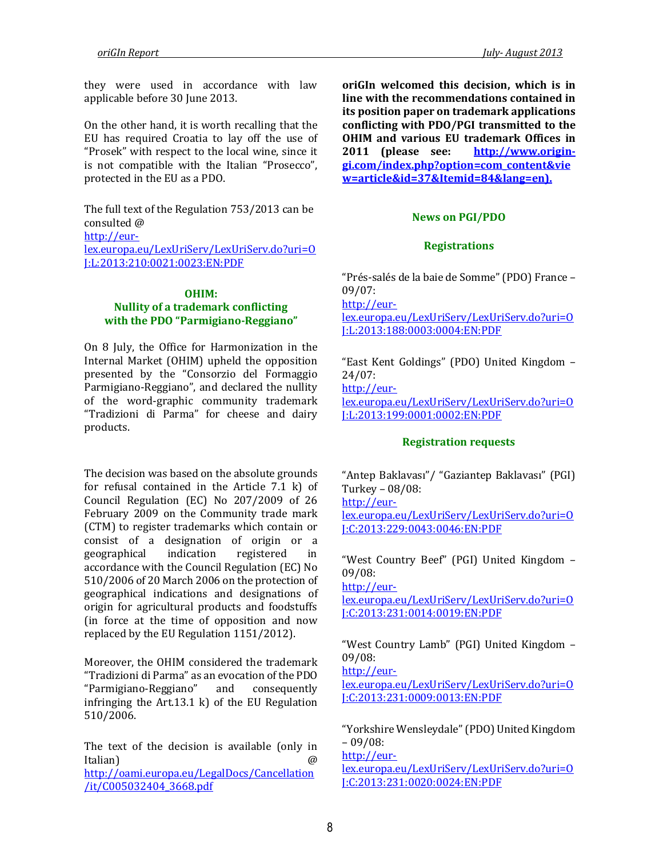they were used in accordance with law applicable before 30 June 2013.

On the other hand, it is worth recalling that the EU has required Croatia to lay off the use of "Prosek" with respect to the local wine, since it is not compatible with the Italian "Prosecco", protected in the EU as a PDO.

The full text of the Regulation 753/2013 can be consulted @ [http://eur](http://eur-lex.europa.eu/LexUriServ/LexUriServ.do?uri=OJ:L:2013:210:0021:0023:EN:PDF)[lex.europa.eu/LexUriServ/LexUriServ.do?uri=O](http://eur-lex.europa.eu/LexUriServ/LexUriServ.do?uri=OJ:L:2013:210:0021:0023:EN:PDF) [J:L:2013:210:0021:0023:EN:PDF](http://eur-lex.europa.eu/LexUriServ/LexUriServ.do?uri=OJ:L:2013:210:0021:0023:EN:PDF)

#### **OHIM: Nullity of a trademark conflicting with the PDO "Parmigiano-Reggiano"**

On 8 July, the Office for Harmonization in the Internal Market (OHIM) upheld the opposition presented by the "Consorzio del Formaggio Parmigiano-Reggiano", and declared the nullity of the word-graphic community trademark "Tradizioni di Parma" for cheese and dairy products.

The decision was based on the absolute grounds for refusal contained in the Article 7.1 k) of Council Regulation (EC) No 207/2009 of 26 February 2009 on the Community trade mark (CTM) to register trademarks which contain or consist of a designation of origin or a geographical indication registered in accordance with the Council Regulation (EC) No 510/2006 of 20 March 2006 on the protection of geographical indications and designations of origin for agricultural products and foodstuffs (in force at the time of opposition and now replaced by the EU Regulation 1151/2012).

Moreover, the OHIM considered the trademark "Tradizioni di Parma" as an evocation of the PDO "Parmigiano-Reggiano" and consequently infringing the Art.13.1 k) of the EU Regulation 510/2006.

The text of the decision is available (only in Italian) @ [http://oami.europa.eu/LegalDocs/Cancellation](http://oami.europa.eu/LegalDocs/Cancellation/it/C005032404_3668.pdf) [/it/C005032404\\_3668.pdf](http://oami.europa.eu/LegalDocs/Cancellation/it/C005032404_3668.pdf)

**oriGIn welcomed this decision, which is in line with the recommendations contained in its position paper on trademark applications conflicting with PDO/PGI transmitted to the OHIM and various EU trademark Offices in 2011 (please see: [http://www.origin](http://www.origin-gi.com/index.php?option=com_content&view=article&id=37&Itemid=84&lang=en)[gi.com/index.php?option=com\\_content&vie](http://www.origin-gi.com/index.php?option=com_content&view=article&id=37&Itemid=84&lang=en) [w=article&id=37&Itemid=84&lang=en\)](http://www.origin-gi.com/index.php?option=com_content&view=article&id=37&Itemid=84&lang=en).**

## **News on PGI/PDO**

# **Registrations**

"Prés-salés de la baie de Somme" (PDO) France – 09/07: [http://eur](http://eur-lex.europa.eu/LexUriServ/LexUriServ.do?uri=OJ:L:2013:188:0003:0004:EN:PDF)[lex.europa.eu/LexUriServ/LexUriServ.do?uri=O](http://eur-lex.europa.eu/LexUriServ/LexUriServ.do?uri=OJ:L:2013:188:0003:0004:EN:PDF) [J:L:2013:188:0003:0004:EN:PDF](http://eur-lex.europa.eu/LexUriServ/LexUriServ.do?uri=OJ:L:2013:188:0003:0004:EN:PDF)

"East Kent Goldings" (PDO) United Kingdom – 24/07: [http://eur-](http://eur-lex.europa.eu/LexUriServ/LexUriServ.do?uri=OJ:L:2013:199:0001:0002:EN:PDF)

[lex.europa.eu/LexUriServ/LexUriServ.do?uri=O](http://eur-lex.europa.eu/LexUriServ/LexUriServ.do?uri=OJ:L:2013:199:0001:0002:EN:PDF) [J:L:2013:199:0001:0002:EN:PDF](http://eur-lex.europa.eu/LexUriServ/LexUriServ.do?uri=OJ:L:2013:199:0001:0002:EN:PDF)

# **Registration requests**

"Antep Baklavası"/ "Gaziantep Baklavası" (PGI) Turkey – 08/08: [http://eur](http://eur-lex.europa.eu/LexUriServ/LexUriServ.do?uri=OJ:C:2013:229:0043:0046:EN:PDF)[lex.europa.eu/LexUriServ/LexUriServ.do?uri=O](http://eur-lex.europa.eu/LexUriServ/LexUriServ.do?uri=OJ:C:2013:229:0043:0046:EN:PDF) [J:C:2013:229:0043:0046:EN:PDF](http://eur-lex.europa.eu/LexUriServ/LexUriServ.do?uri=OJ:C:2013:229:0043:0046:EN:PDF)

"West Country Beef" (PGI) United Kingdom – 09/08:

[http://eur-](http://eur-lex.europa.eu/LexUriServ/LexUriServ.do?uri=OJ:C:2013:231:0014:0019:EN:PDF)

[lex.europa.eu/LexUriServ/LexUriServ.do?uri=O](http://eur-lex.europa.eu/LexUriServ/LexUriServ.do?uri=OJ:C:2013:231:0014:0019:EN:PDF) [J:C:2013:231:0014:0019:EN:PDF](http://eur-lex.europa.eu/LexUriServ/LexUriServ.do?uri=OJ:C:2013:231:0014:0019:EN:PDF)

"West Country Lamb" (PGI) United Kingdom – 09/08:

[http://eur-](http://eur-lex.europa.eu/LexUriServ/LexUriServ.do?uri=OJ:C:2013:231:0009:0013:EN:PDF)

[lex.europa.eu/LexUriServ/LexUriServ.do?uri=O](http://eur-lex.europa.eu/LexUriServ/LexUriServ.do?uri=OJ:C:2013:231:0009:0013:EN:PDF) [J:C:2013:231:0009:0013:EN:PDF](http://eur-lex.europa.eu/LexUriServ/LexUriServ.do?uri=OJ:C:2013:231:0009:0013:EN:PDF)

"Yorkshire Wensleydale" (PDO) United Kingdom – 09/08:

[http://eur](http://eur-lex.europa.eu/LexUriServ/LexUriServ.do?uri=OJ:C:2013:231:0020:0024:EN:PDF)[lex.europa.eu/LexUriServ/LexUriServ.do?uri=O](http://eur-lex.europa.eu/LexUriServ/LexUriServ.do?uri=OJ:C:2013:231:0020:0024:EN:PDF) [J:C:2013:231:0020:0024:EN:PDF](http://eur-lex.europa.eu/LexUriServ/LexUriServ.do?uri=OJ:C:2013:231:0020:0024:EN:PDF)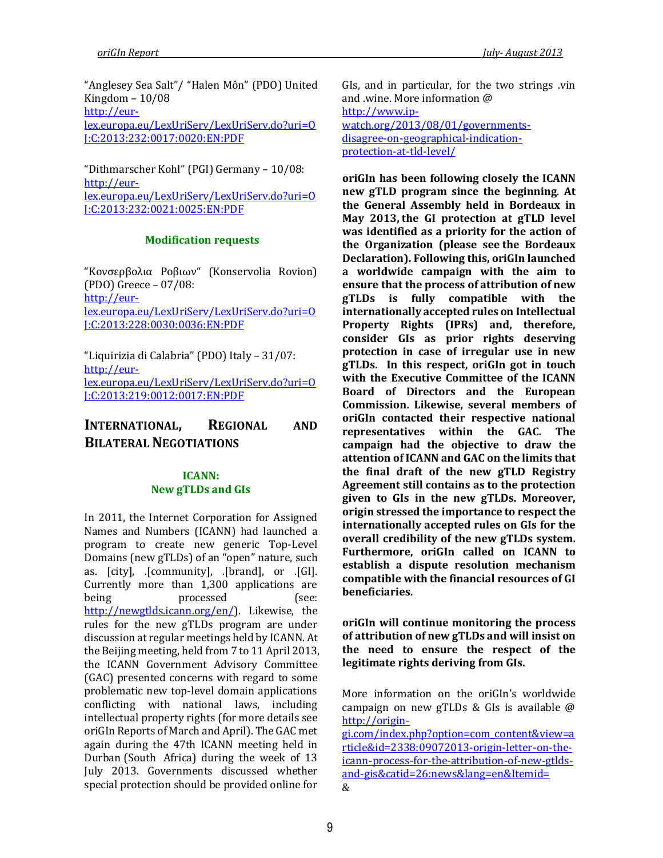"Anglesey Sea Salt"/ "Halen Môn" (PDO) United Kingdom – 10/08 [http://eur](http://eur-lex.europa.eu/LexUriServ/LexUriServ.do?uri=OJ:C:2013:232:0017:0020:EN:PDF)[lex.europa.eu/LexUriServ/LexUriServ.do?uri=O](http://eur-lex.europa.eu/LexUriServ/LexUriServ.do?uri=OJ:C:2013:232:0017:0020:EN:PDF) [J:C:2013:232:0017:0020:EN:PDF](http://eur-lex.europa.eu/LexUriServ/LexUriServ.do?uri=OJ:C:2013:232:0017:0020:EN:PDF)

"Dithmarscher Kohl" (PGI) Germany – 10/08: [http://eur](http://eur-lex.europa.eu/LexUriServ/LexUriServ.do?uri=OJ:C:2013:232:0021:0025:EN:PDF)[lex.europa.eu/LexUriServ/LexUriServ.do?uri=O](http://eur-lex.europa.eu/LexUriServ/LexUriServ.do?uri=OJ:C:2013:232:0021:0025:EN:PDF) [J:C:2013:232:0021:0025:EN:PDF](http://eur-lex.europa.eu/LexUriServ/LexUriServ.do?uri=OJ:C:2013:232:0021:0025:EN:PDF)

#### **Modification requests**

"Κονσερβολια Ροβιων" (Konservolia Rovion) (PDO) Greece – 07/08: [http://eur](http://eur-lex.europa.eu/LexUriServ/LexUriServ.do?uri=OJ:C:2013:228:0030:0036:EN:PDF)[lex.europa.eu/LexUriServ/LexUriServ.do?uri=O](http://eur-lex.europa.eu/LexUriServ/LexUriServ.do?uri=OJ:C:2013:228:0030:0036:EN:PDF) [J:C:2013:228:0030:0036:EN:PDF](http://eur-lex.europa.eu/LexUriServ/LexUriServ.do?uri=OJ:C:2013:228:0030:0036:EN:PDF)

"Liquirizia di Calabria" (PDO) Italy – 31/07: [http://eur](http://eur-lex.europa.eu/LexUriServ/LexUriServ.do?uri=OJ:C:2013:219:0012:0017:EN:PDF)[lex.europa.eu/LexUriServ/LexUriServ.do?uri=O](http://eur-lex.europa.eu/LexUriServ/LexUriServ.do?uri=OJ:C:2013:219:0012:0017:EN:PDF) [J:C:2013:219:0012:0017:EN:PDF](http://eur-lex.europa.eu/LexUriServ/LexUriServ.do?uri=OJ:C:2013:219:0012:0017:EN:PDF)

# **INTERNATIONAL, REGIONAL AND BILATERAL NEGOTIATIONS**

# **ICANN: New gTLDs and GIs**

In 2011, the Internet Corporation for Assigned Names and Numbers (ICANN) had launched a program to create new generic Top-Level Domains (new gTLDs) of an "open" nature, such as. [city], .[community], .[brand], or .[GI]. Currently more than 1,300 applications are being processed (see: [http://newgtlds.icann.org/en/\)](http://newgtlds.icann.org/en/). Likewise, the rules for the new gTLDs program are under discussion at regular meetings held by ICANN. At the Beijing meeting, held from 7 to 11 April 2013, the ICANN Government Advisory Committee (GAC) presented concerns with regard to some problematic new top-level domain applications conflicting with national laws, including intellectual property rights (for more details see oriGIn Reports of March and April). The GAC met again during the 47th ICANN meeting held in Durban (South Africa) during the week of 13 July 2013. Governments discussed whether special protection should be provided online for

GIs, and in particular, for the two strings .vin and .wine. More information @ [http://www.ip](http://www.ip-watch.org/2013/08/01/governments-disagree-on-geographical-indication-protection-at-tld-level/)[watch.org/2013/08/01/governments](http://www.ip-watch.org/2013/08/01/governments-disagree-on-geographical-indication-protection-at-tld-level/)[disagree-on-geographical-indication](http://www.ip-watch.org/2013/08/01/governments-disagree-on-geographical-indication-protection-at-tld-level/)[protection-at-tld-level/](http://www.ip-watch.org/2013/08/01/governments-disagree-on-geographical-indication-protection-at-tld-level/)

**oriGIn has been following closely the ICANN new gTLD program since the beginning**. **At the General Assembly held in Bordeaux in May 2013, the GI protection at gTLD level was identified as a priority for the action of the Organization (please see the Bordeaux Declaration). Following this, oriGIn launched a worldwide campaign with the aim to ensure that the process of attribution of new gTLDs is fully compatible with the internationally accepted rules on Intellectual Property Rights (IPRs) and, therefore, consider GIs as prior rights deserving protection in case of irregular use in new gTLDs. In this respect, oriGIn got in touch with the Executive Committee of the ICANN Board of Directors and the European Commission. Likewise, several members of oriGIn contacted their respective national representatives within the GAC. The campaign had the objective to draw the attention of ICANN and GAC on the limits that the final draft of the new gTLD Registry Agreement still contains as to the protection given to GIs in the new gTLDs. Moreover, origin stressed the importance to respect the internationally accepted rules on GIs for the overall credibility of the new gTLDs system. Furthermore, oriGIn called on ICANN to establish a dispute resolution mechanism compatible with the financial resources of GI beneficiaries.**

**oriGIn will continue monitoring the process of attribution of new gTLDs and will insist on the need to ensure the respect of the legitimate rights deriving from GIs.**

More information on the oriGIn's worldwide campaign on new gTLDs & GIs is available @ [http://origin-](http://origin-gi.com/index.php?option=com_content&view=article&id=2338:09072013-origin-letter-on-the-icann-process-for-the-attribution-of-new-gtlds-and-gis&catid=26:news&lang=en&Itemid=)

[gi.com/index.php?option=com\\_content&view=a](http://origin-gi.com/index.php?option=com_content&view=article&id=2338:09072013-origin-letter-on-the-icann-process-for-the-attribution-of-new-gtlds-and-gis&catid=26:news&lang=en&Itemid=) [rticle&id=2338:09072013-origin-letter-on-the](http://origin-gi.com/index.php?option=com_content&view=article&id=2338:09072013-origin-letter-on-the-icann-process-for-the-attribution-of-new-gtlds-and-gis&catid=26:news&lang=en&Itemid=)[icann-process-for-the-attribution-of-new-gtlds](http://origin-gi.com/index.php?option=com_content&view=article&id=2338:09072013-origin-letter-on-the-icann-process-for-the-attribution-of-new-gtlds-and-gis&catid=26:news&lang=en&Itemid=)[and-gis&catid=26:news&lang=en&Itemid=](http://origin-gi.com/index.php?option=com_content&view=article&id=2338:09072013-origin-letter-on-the-icann-process-for-the-attribution-of-new-gtlds-and-gis&catid=26:news&lang=en&Itemid=)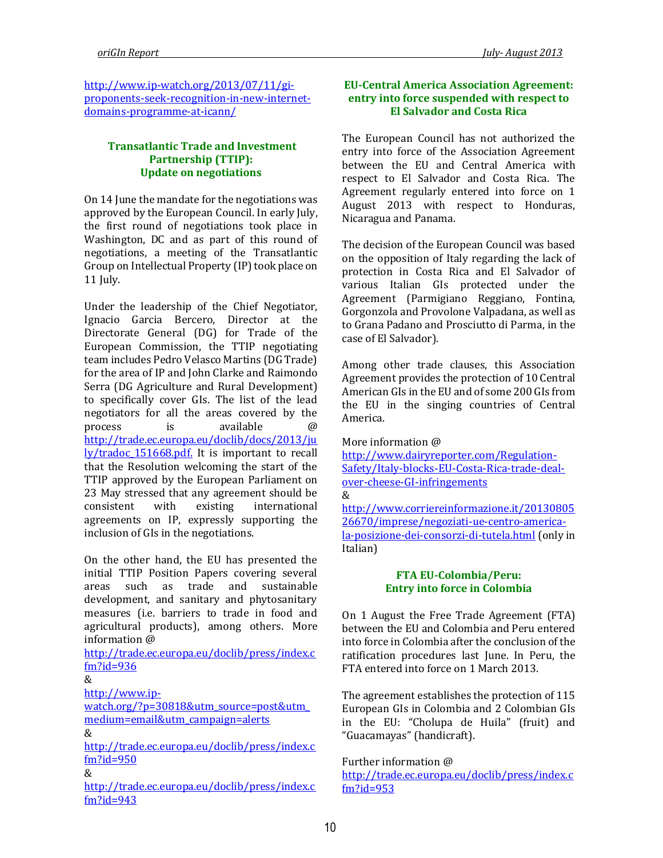[http://www.ip-watch.org/2013/07/11/gi](http://www.ip-watch.org/2013/07/11/gi-proponents-seek-recognition-in-new-internet-domains-programme-at-icann/)[proponents-seek-recognition-in-new-internet](http://www.ip-watch.org/2013/07/11/gi-proponents-seek-recognition-in-new-internet-domains-programme-at-icann/)[domains-programme-at-icann/](http://www.ip-watch.org/2013/07/11/gi-proponents-seek-recognition-in-new-internet-domains-programme-at-icann/)

## **Transatlantic Trade and Investment Partnership (TTIP): Update on negotiations**

On 14 June the mandate for the negotiations was approved by the European Council. In early July, the first round of negotiations took place in Washington, DC and as part of this round of negotiations, a meeting of the Transatlantic Group on Intellectual Property (IP) took place on 11 July.

Under the leadership of the Chief Negotiator, Ignacio Garcia Bercero, Director at the Directorate General (DG) for Trade of the European Commission, the TTIP negotiating team includes Pedro Velasco Martins (DG Trade) for the area of IP and John Clarke and Raimondo Serra (DG Agriculture and Rural Development) to specifically cover GIs. The list of the lead negotiators for all the areas covered by the process is available [http://trade.ec.europa.eu/doclib/docs/2013/ju](http://trade.ec.europa.eu/doclib/docs/2013/july/tradoc_151668.pdf) [ly/tradoc\\_151668.pdf.](http://trade.ec.europa.eu/doclib/docs/2013/july/tradoc_151668.pdf) It is important to recall that the Resolution welcoming the start of the TTIP approved by the European Parliament on 23 May stressed that any agreement should be consistent with existing international agreements on IP, expressly supporting the inclusion of GIs in the negotiations.

On the other hand, the EU has presented the initial TTIP Position Papers covering several areas such as trade and sustainable development, and sanitary and phytosanitary measures (i.e. barriers to trade in food and agricultural products), among others. More information @

[http://trade.ec.europa.eu/doclib/press/index.c](http://trade.ec.europa.eu/doclib/press/index.cfm?id=936) [fm?id=936](http://trade.ec.europa.eu/doclib/press/index.cfm?id=936)

&

[http://www.ip-](http://www.ip-watch.org/?p=30818&utm_source=post&utm_medium=email&utm_campaign=alerts)

[watch.org/?p=30818&utm\\_source=post&utm\\_](http://www.ip-watch.org/?p=30818&utm_source=post&utm_medium=email&utm_campaign=alerts) [medium=email&utm\\_campaign=alerts](http://www.ip-watch.org/?p=30818&utm_source=post&utm_medium=email&utm_campaign=alerts) &

[http://trade.ec.europa.eu/doclib/press/index.c](http://trade.ec.europa.eu/doclib/press/index.cfm?id=950) [fm?id=950](http://trade.ec.europa.eu/doclib/press/index.cfm?id=950)

&

[http://trade.ec.europa.eu/doclib/press/index.c](http://trade.ec.europa.eu/doclib/press/index.cfm?id=943) [fm?id=943](http://trade.ec.europa.eu/doclib/press/index.cfm?id=943)

## **EU-Central America Association Agreement: entry into force suspended with respect to El Salvador and Costa Rica**

The European Council has not authorized the entry into force of the Association Agreement between the EU and Central America with respect to El Salvador and Costa Rica. The Agreement regularly entered into force on 1 August 2013 with respect to Honduras, Nicaragua and Panama.

The decision of the European Council was based on the opposition of Italy regarding the lack of protection in Costa Rica and El Salvador of various Italian GIs protected under the Agreement (Parmigiano Reggiano, Fontina, Gorgonzola and Provolone Valpadana, as well as to Grana Padano and Prosciutto di Parma, in the case of El Salvador).

Among other trade clauses, this Association Agreement provides the protection of 10 Central American GIs in the EU and of some 200 GIs from the EU in the singing countries of Central America.

#### More information @

[http://www.dairyreporter.com/Regulation-](http://www.dairyreporter.com/Regulation-Safety/Italy-blocks-EU-Costa-Rica-trade-deal-over-cheese-GI-infringements)[Safety/Italy-blocks-EU-Costa-Rica-trade-deal](http://www.dairyreporter.com/Regulation-Safety/Italy-blocks-EU-Costa-Rica-trade-deal-over-cheese-GI-infringements)[over-cheese-GI-infringements](http://www.dairyreporter.com/Regulation-Safety/Italy-blocks-EU-Costa-Rica-trade-deal-over-cheese-GI-infringements)

## &

[http://www.corriereinformazione.it/20130805](http://www.corriereinformazione.it/2013080526670/imprese/negoziati-ue-centro-america-la-posizione-dei-consorzi-di-tutela.html) [26670/imprese/negoziati-ue-centro-america](http://www.corriereinformazione.it/2013080526670/imprese/negoziati-ue-centro-america-la-posizione-dei-consorzi-di-tutela.html)[la-posizione-dei-consorzi-di-tutela.html](http://www.corriereinformazione.it/2013080526670/imprese/negoziati-ue-centro-america-la-posizione-dei-consorzi-di-tutela.html) (only in Italian)

#### **FTA EU-Colombia/Peru: Entry into force in Colombia**

On 1 August the Free Trade Agreement (FTA) between the EU and Colombia and Peru entered into force in Colombia after the conclusion of the ratification procedures last June. In Peru, the FTA entered into force on 1 March 2013.

The agreement establishes the protection of 115 European GIs in Colombia and 2 Colombian GIs in the EU: "Cholupa de Huila" (fruit) and "Guacamayas" (handicraft).

#### Further information @

[http://trade.ec.europa.eu/doclib/press/index.c](http://trade.ec.europa.eu/doclib/press/index.cfm?id=953) [fm?id=953](http://trade.ec.europa.eu/doclib/press/index.cfm?id=953)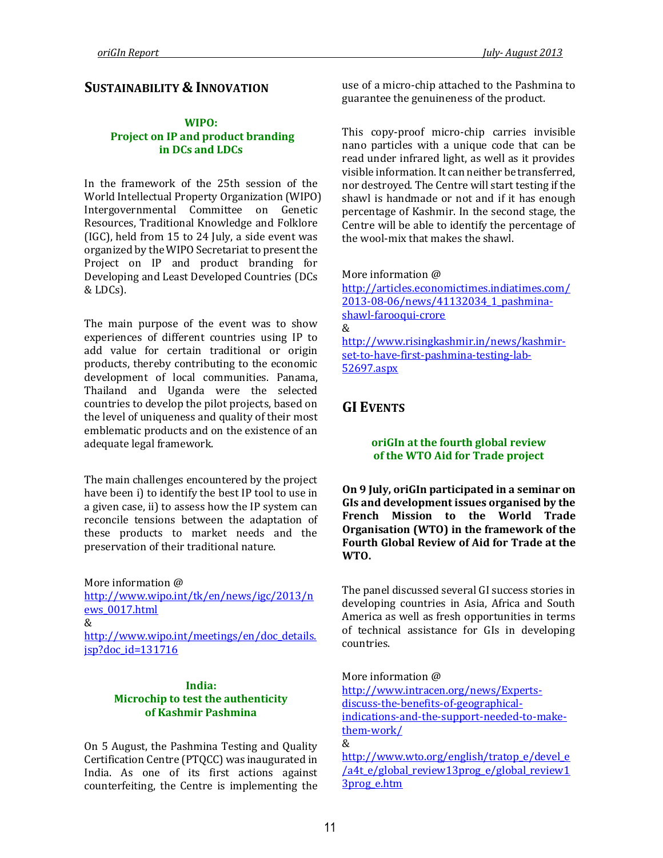# **SUSTAINABILITY & INNOVATION**

## **WIPO: Project on IP and product branding in DCs and LDCs**

In the framework of the 25th session of the World Intellectual Property Organization (WIPO) Intergovernmental Committee on Genetic Resources, Traditional Knowledge and Folklore (IGC), held from 15 to 24 July, a side event was organized by the WIPO Secretariat to present the Project on IP and product branding for Developing and Least Developed Countries (DCs & LDCs).

The main purpose of the event was to show experiences of different countries using IP to add value for certain traditional or origin products, thereby contributing to the economic development of local communities. Panama, Thailand and Uganda were the selected countries to develop the pilot projects, based on the level of uniqueness and quality of their most emblematic products and on the existence of an adequate legal framework.

The main challenges encountered by the project have been i) to identify the best IP tool to use in a given case, ii) to assess how the IP system can reconcile tensions between the adaptation of these products to market needs and the preservation of their traditional nature.

More information @

[http://www.wipo.int/tk/en/news/igc/2013/n](http://www.wipo.int/tk/en/news/igc/2013/news_0017.html) [ews\\_0017.html](http://www.wipo.int/tk/en/news/igc/2013/news_0017.html) &

[http://www.wipo.int/meetings/en/doc\\_details.](http://www.wipo.int/meetings/en/doc_details.jsp?doc_id=131716) [jsp?doc\\_id=131716](http://www.wipo.int/meetings/en/doc_details.jsp?doc_id=131716)

#### **India: Microchip to test the authenticity of Kashmir Pashmina**

On 5 August, the Pashmina Testing and Quality Certification Centre (PTQCC) was inaugurated in India. As one of its first actions against counterfeiting, the Centre is implementing the

use of a micro-chip attached to the Pashmina to guarantee the genuineness of the product.

This copy-proof micro-chip carries invisible nano particles with a unique code that can be read under infrared light, as well as it provides visible information. It can neither be transferred, nor destroyed. The Centre will start testing if the shawl is handmade or not and if it has enough percentage of Kashmir. In the second stage, the Centre will be able to identify the percentage of the wool-mix that makes the shawl.

More information @

[http://articles.economictimes.indiatimes.com/](http://articles.economictimes.indiatimes.com/2013-08-06/news/41132034_1_pashmina-shawl-farooqui-crore) [2013-08-06/news/41132034\\_1\\_pashmina](http://articles.economictimes.indiatimes.com/2013-08-06/news/41132034_1_pashmina-shawl-farooqui-crore)[shawl-farooqui-crore](http://articles.economictimes.indiatimes.com/2013-08-06/news/41132034_1_pashmina-shawl-farooqui-crore) & [http://www.risingkashmir.in/news/kashmir](http://www.risingkashmir.in/news/kashmir-set-to-have-first-pashmina-testing-lab-52697.aspx)[set-to-have-first-pashmina-testing-lab-](http://www.risingkashmir.in/news/kashmir-set-to-have-first-pashmina-testing-lab-52697.aspx)

[52697.aspx](http://www.risingkashmir.in/news/kashmir-set-to-have-first-pashmina-testing-lab-52697.aspx)

# **GI EVENTS**

### **oriGIn at the fourth global review of the WTO Aid for Trade project**

**On 9 July, oriGIn participated in a seminar on GIs and development issues organised by the French Mission to the World Trade Organisation (WTO) in the framework of the Fourth Global Review of Aid for Trade at the WTO.** 

The panel discussed several GI success stories in developing countries in Asia, Africa and South America as well as fresh opportunities in terms of technical assistance for GIs in developing countries.

More information @

[http://www.intracen.org/news/Experts](http://www.intracen.org/news/Experts-discuss-the-benefits-of-geographical-indications-and-the-support-needed-to-make-them-work/)[discuss-the-benefits-of-geographical](http://www.intracen.org/news/Experts-discuss-the-benefits-of-geographical-indications-and-the-support-needed-to-make-them-work/)[indications-and-the-support-needed-to-make](http://www.intracen.org/news/Experts-discuss-the-benefits-of-geographical-indications-and-the-support-needed-to-make-them-work/)[them-work/](http://www.intracen.org/news/Experts-discuss-the-benefits-of-geographical-indications-and-the-support-needed-to-make-them-work/) &

[http://www.wto.org/english/tratop\\_e/devel\\_e](http://www.wto.org/english/tratop_e/devel_e/a4t_e/global_review13prog_e/global_review13prog_e.htm) [/a4t\\_e/global\\_review13prog\\_e/global\\_review1](http://www.wto.org/english/tratop_e/devel_e/a4t_e/global_review13prog_e/global_review13prog_e.htm) [3prog\\_e.htm](http://www.wto.org/english/tratop_e/devel_e/a4t_e/global_review13prog_e/global_review13prog_e.htm)